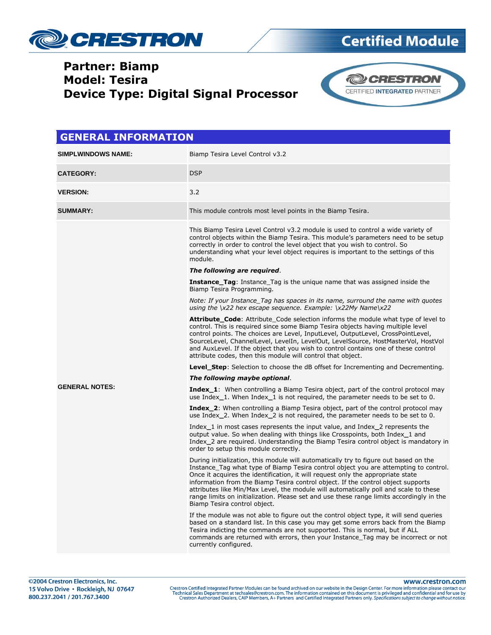

### **Partner: Biamp Model: Tesira Device Type: Digital Signal Processor**



| <b>GENERAL INFORMATION</b> |                                                                                                                                                                                                                                                                                                                                                                                                                                                                                                                                                                         |  |
|----------------------------|-------------------------------------------------------------------------------------------------------------------------------------------------------------------------------------------------------------------------------------------------------------------------------------------------------------------------------------------------------------------------------------------------------------------------------------------------------------------------------------------------------------------------------------------------------------------------|--|
| <b>SIMPLWINDOWS NAME:</b>  | Biamp Tesira Level Control v3.2                                                                                                                                                                                                                                                                                                                                                                                                                                                                                                                                         |  |
| <b>CATEGORY:</b>           | <b>DSP</b>                                                                                                                                                                                                                                                                                                                                                                                                                                                                                                                                                              |  |
| <b>VERSION:</b>            | 3.2                                                                                                                                                                                                                                                                                                                                                                                                                                                                                                                                                                     |  |
| <b>SUMMARY:</b>            | This module controls most level points in the Biamp Tesira.                                                                                                                                                                                                                                                                                                                                                                                                                                                                                                             |  |
|                            | This Biamp Tesira Level Control v3.2 module is used to control a wide variety of<br>control objects within the Biamp Tesira. This module's parameters need to be setup<br>correctly in order to control the level object that you wish to control. So<br>understanding what your level object requires is important to the settings of this<br>module.                                                                                                                                                                                                                  |  |
|                            | The following are required.                                                                                                                                                                                                                                                                                                                                                                                                                                                                                                                                             |  |
|                            | <b>Instance_Tag:</b> Instance Tag is the unique name that was assigned inside the<br>Biamp Tesira Programming.                                                                                                                                                                                                                                                                                                                                                                                                                                                          |  |
|                            | Note: If your Instance Tag has spaces in its name, surround the name with quotes<br>using the $\x22$ hex escape sequence. Example: $\x22My$ Name $\x22$                                                                                                                                                                                                                                                                                                                                                                                                                 |  |
|                            | <b>Attribute Code:</b> Attribute Code selection informs the module what type of level to<br>control. This is required since some Biamp Tesira objects having multiple level<br>control points. The choices are Level, InputLevel, OutputLevel, CrossPointLevel,<br>SourceLevel, ChannelLevel, LevelIn, LevelOut, LevelSource, HostMasterVol, HostVol<br>and AuxLevel. If the object that you wish to control contains one of these control<br>attribute codes, then this module will control that object.                                                               |  |
|                            | <b>Level_Step:</b> Selection to choose the dB offset for Incrementing and Decrementing.                                                                                                                                                                                                                                                                                                                                                                                                                                                                                 |  |
|                            | The following maybe optional.                                                                                                                                                                                                                                                                                                                                                                                                                                                                                                                                           |  |
| <b>GENERAL NOTES:</b>      | <b>Index_1:</b> When controlling a Biamp Tesira object, part of the control protocol may<br>use Index $_1$ . When Index 1 is not required, the parameter needs to be set to 0.                                                                                                                                                                                                                                                                                                                                                                                          |  |
|                            | <b>Index_2:</b> When controlling a Biamp Tesira object, part of the control protocol may<br>use Index 2. When Index 2 is not required, the parameter needs to be set to 0.                                                                                                                                                                                                                                                                                                                                                                                              |  |
|                            | Index_1 in most cases represents the input value, and Index_2 represents the<br>output value. So when dealing with things like Crosspoints, both Index_1 and<br>Index_2 are required. Understanding the Biamp Tesira control object is mandatory in<br>order to setup this module correctly.                                                                                                                                                                                                                                                                            |  |
|                            | During initialization, this module will automatically try to figure out based on the<br>Instance Tag what type of Biamp Tesira control object you are attempting to control.<br>Once it acquires the identification, it will request only the appropriate state<br>information from the Biamp Tesira control object. If the control object supports<br>attributes like Min/Max Level, the module will automatically poll and scale to these<br>range limits on initialization. Please set and use these range limits accordingly in the<br>Biamp Tesira control object. |  |
|                            | If the module was not able to figure out the control object type, it will send queries<br>based on a standard list. In this case you may get some errors back from the Biamp<br>Tesira indicting the commands are not supported. This is normal, but if ALL<br>commands are returned with errors, then your Instance Tag may be incorrect or not<br>currently configured.                                                                                                                                                                                               |  |

#### www.crestron.com

Crestron Certified Integrated Partner Modules can be found archived on our website in the Design Center. For more information please contact our Technical Sales Department at techsales@crestron.com. The information contain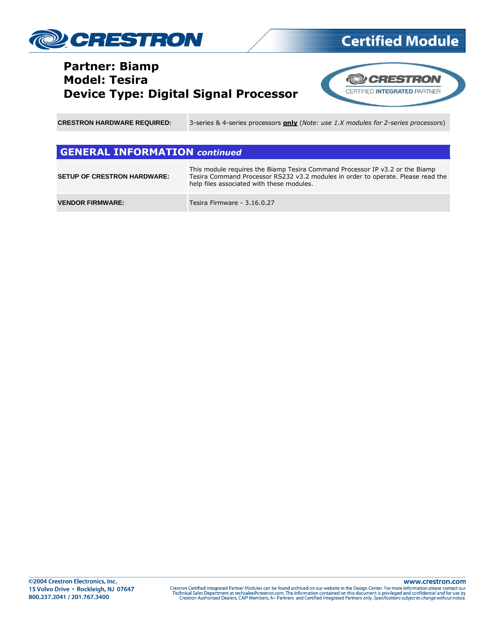

### **Partner: Biamp Model: Tesira Device Type: Digital Signal Processor**



**Certified Module** 

**CRESTRON HARDWARE REQUIRED:** 3-series & 4-series processors **only** (*Note: use 1.X modules for 2-series processors*)

#### **GENERAL INFORMATION** *continued*

| <b>SETUP OF CRESTRON HARDWARE:</b> | This module requires the Biamp Tesira Command Processor IP v3.2 or the Biamp<br>Tesira Command Processor RS232 v3.2 modules in order to operate. Please read the<br>help files associated with these modules. |
|------------------------------------|---------------------------------------------------------------------------------------------------------------------------------------------------------------------------------------------------------------|
| <b>VENDOR FIRMWARE:</b>            | Tesira Firmware - 3.16.0.27                                                                                                                                                                                   |

www.crestron.com Crestron Certified Integrated Partner Modules can be found archived on our website in the Design Center. For more information please contact our<br>Technical Sales Department at techsales@crestron.com. The information contain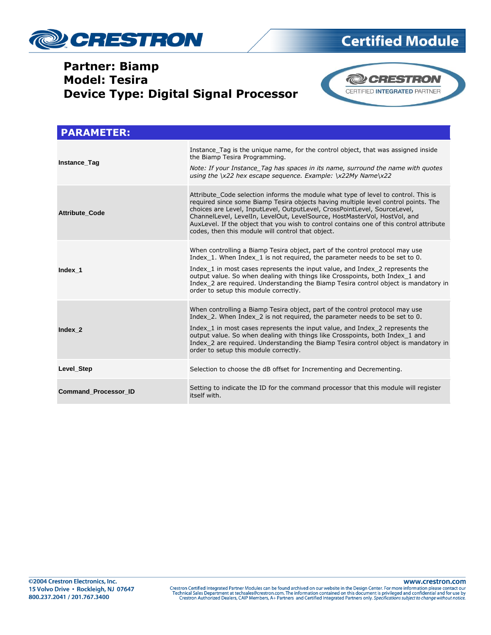

### **Partner: Biamp Model: Tesira Device Type: Digital Signal Processor**



| <b>PARAMETER:</b>           |                                                                                                                                                                                                                                                                                                                                                                                                                                                                                    |
|-----------------------------|------------------------------------------------------------------------------------------------------------------------------------------------------------------------------------------------------------------------------------------------------------------------------------------------------------------------------------------------------------------------------------------------------------------------------------------------------------------------------------|
| Instance_Tag                | Instance Tag is the unique name, for the control object, that was assigned inside<br>the Biamp Tesira Programming.<br>Note: If your Instance Tag has spaces in its name, surround the name with quotes<br>using the $\x22$ hex escape sequence. Example: $\x22My$ Name $\x22$                                                                                                                                                                                                      |
| <b>Attribute Code</b>       | Attribute Code selection informs the module what type of level to control. This is<br>required since some Biamp Tesira objects having multiple level control points. The<br>choices are Level, InputLevel, OutputLevel, CrossPointLevel, SourceLevel,<br>ChannelLevel, LevelIn, LevelOut, LevelSource, HostMasterVol, HostVol, and<br>AuxLevel. If the object that you wish to control contains one of this control attribute<br>codes, then this module will control that object. |
| Index 1                     | When controlling a Biamp Tesira object, part of the control protocol may use<br>Index 1. When Index 1 is not required, the parameter needs to be set to 0.<br>Index 1 in most cases represents the input value, and Index 2 represents the<br>output value. So when dealing with things like Crosspoints, both Index 1 and<br>Index 2 are required. Understanding the Biamp Tesira control object is mandatory in<br>order to setup this module correctly.                         |
| Index 2                     | When controlling a Biamp Tesira object, part of the control protocol may use<br>Index 2. When Index 2 is not required, the parameter needs to be set to 0.<br>Index 1 in most cases represents the input value, and Index 2 represents the<br>output value. So when dealing with things like Crosspoints, both Index 1 and<br>Index 2 are required. Understanding the Biamp Tesira control object is mandatory in<br>order to setup this module correctly.                         |
| Level_Step                  | Selection to choose the dB offset for Incrementing and Decrementing.                                                                                                                                                                                                                                                                                                                                                                                                               |
| <b>Command Processor ID</b> | Setting to indicate the ID for the command processor that this module will register<br>itself with.                                                                                                                                                                                                                                                                                                                                                                                |

www.crestron.com Crestron Certified Integrated Partner Modules can be found archived on our website in the Design Center. For more information please contact our Technical Sales Department at techsales@crestron.com. The information contain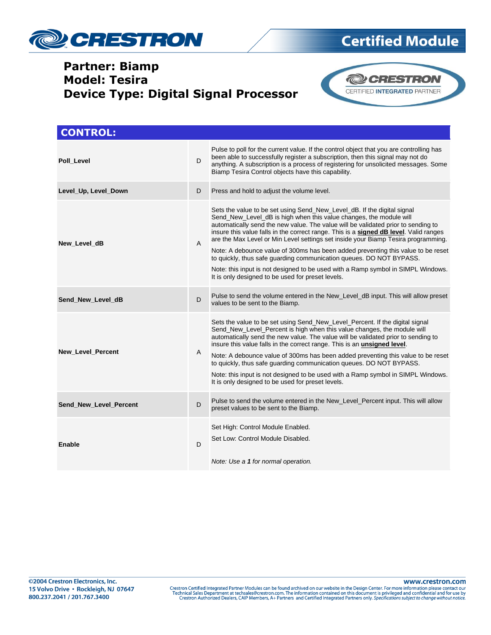

## **Partner: Biamp Model: Tesira Device Type: Digital Signal Processor**



**Certified Module** 

| <b>CONTROL:</b>        |                |                                                                                                                                                                                                                                                                                                                                                                                                                                                                                                                                                                                                                                                                                                                      |
|------------------------|----------------|----------------------------------------------------------------------------------------------------------------------------------------------------------------------------------------------------------------------------------------------------------------------------------------------------------------------------------------------------------------------------------------------------------------------------------------------------------------------------------------------------------------------------------------------------------------------------------------------------------------------------------------------------------------------------------------------------------------------|
| Poll Level             | D              | Pulse to poll for the current value. If the control object that you are controlling has<br>been able to successfully register a subscription, then this signal may not do<br>anything. A subscription is a process of registering for unsolicited messages. Some<br>Biamp Tesira Control objects have this capability.                                                                                                                                                                                                                                                                                                                                                                                               |
| Level_Up, Level_Down   | D              | Press and hold to adjust the volume level.                                                                                                                                                                                                                                                                                                                                                                                                                                                                                                                                                                                                                                                                           |
| New Level dB           | $\overline{A}$ | Sets the value to be set using Send_New_Level_dB. If the digital signal<br>Send_New_Level_dB is high when this value changes, the module will<br>automatically send the new value. The value will be validated prior to sending to<br>insure this value falls in the correct range. This is a signed dB level. Valid ranges<br>are the Max Level or Min Level settings set inside your Biamp Tesira programming.<br>Note: A debounce value of 300ms has been added preventing this value to be reset<br>to quickly, thus safe quarding communication queues. DO NOT BYPASS.<br>Note: this input is not designed to be used with a Ramp symbol in SIMPL Windows.<br>It is only designed to be used for preset levels. |
| Send New Level dB      | D              | Pulse to send the volume entered in the New_Level_dB input. This will allow preset<br>values to be sent to the Biamp.                                                                                                                                                                                                                                                                                                                                                                                                                                                                                                                                                                                                |
| New_Level_Percent      | A              | Sets the value to be set using Send_New_Level_Percent. If the digital signal<br>Send_New_Level_Percent is high when this value changes, the module will<br>automatically send the new value. The value will be validated prior to sending to<br>insure this value falls in the correct range. This is an <i>unsigned level</i> .<br>Note: A debounce value of 300ms has been added preventing this value to be reset<br>to quickly, thus safe guarding communication queues. DO NOT BYPASS.<br>Note: this input is not designed to be used with a Ramp symbol in SIMPL Windows.<br>It is only designed to be used for preset levels.                                                                                 |
| Send_New_Level_Percent | D              | Pulse to send the volume entered in the New Level Percent input. This will allow<br>preset values to be sent to the Biamp.                                                                                                                                                                                                                                                                                                                                                                                                                                                                                                                                                                                           |
| <b>Enable</b>          | D              | Set High: Control Module Enabled.<br>Set Low: Control Module Disabled.<br>Note: Use a 1 for normal operation.                                                                                                                                                                                                                                                                                                                                                                                                                                                                                                                                                                                                        |

www.crestron.com

Crestron Certified Integrated Partner Modules can be found archived on our website in the Design Center. For more information please contact our Technical Sales Department at techsales@crestron.com. The information contain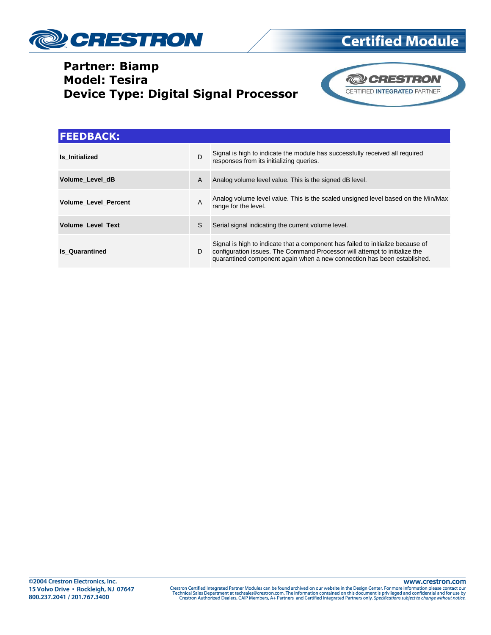

### **Partner: Biamp Model: Tesira Device Type: Digital Signal Processor**



| <b>FEEDBACK:</b>            |   |                                                                                                                                                                                                                                          |
|-----------------------------|---|------------------------------------------------------------------------------------------------------------------------------------------------------------------------------------------------------------------------------------------|
| Is Initialized              | D | Signal is high to indicate the module has successfully received all required<br>responses from its initializing queries.                                                                                                                 |
| Volume Level dB             | A | Analog volume level value. This is the signed dB level.                                                                                                                                                                                  |
| <b>Volume Level Percent</b> | A | Analog volume level value. This is the scaled unsigned level based on the Min/Max<br>range for the level.                                                                                                                                |
| <b>Volume Level Text</b>    | S | Serial signal indicating the current volume level.                                                                                                                                                                                       |
| <b>Is Quarantined</b>       | D | Signal is high to indicate that a component has failed to initialize because of<br>configuration issues. The Command Processor will attempt to initialize the<br>quarantined component again when a new connection has been established. |

www.crestron.com Crestron Certified Integrated Partner Modules can be found archived on our website in the Design Center. For more information please contact our Technical Sales Department at techsales@crestron.com. The information contain